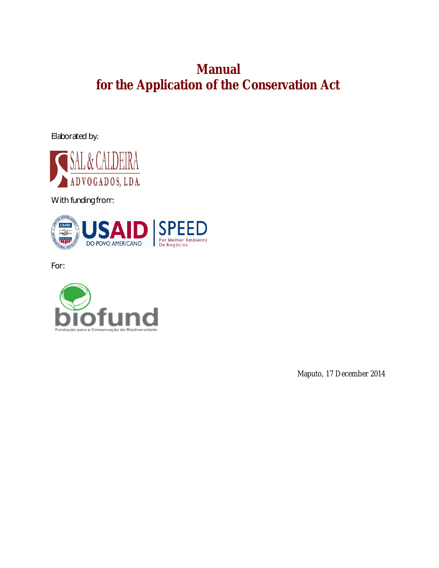# **Manual for the Application of the Conservation Act**

Elaborated by:



With funding from:



For:



Maputo, 17 December 2014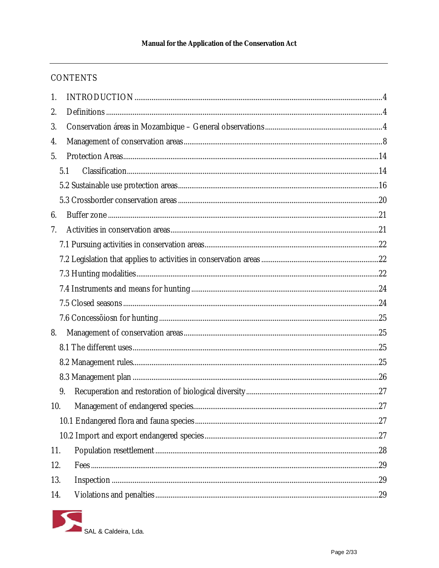# **CONTENTS**

| $\mathbf{1}$ . |  |
|----------------|--|
| 2.             |  |
| 3.             |  |
| 4.             |  |
| 5.             |  |
| 5.1            |  |
|                |  |
|                |  |
| 6.             |  |
| 7.             |  |
|                |  |
|                |  |
|                |  |
|                |  |
|                |  |
|                |  |
| 8.             |  |
|                |  |
|                |  |
|                |  |
| 9.             |  |
| 10.            |  |
|                |  |
|                |  |
| 11.            |  |
| 12.            |  |
| 13.            |  |
| 14.            |  |

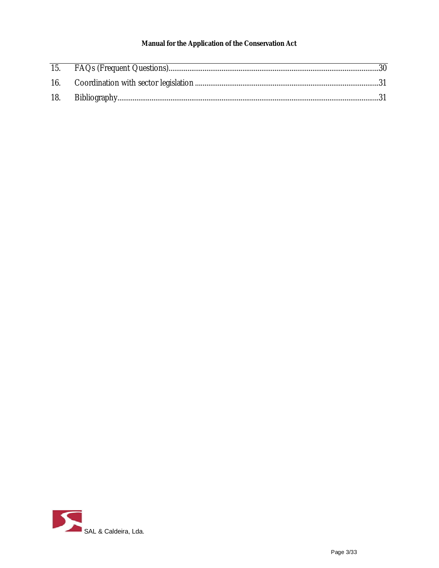## Manual for the Application of the Conservation Act

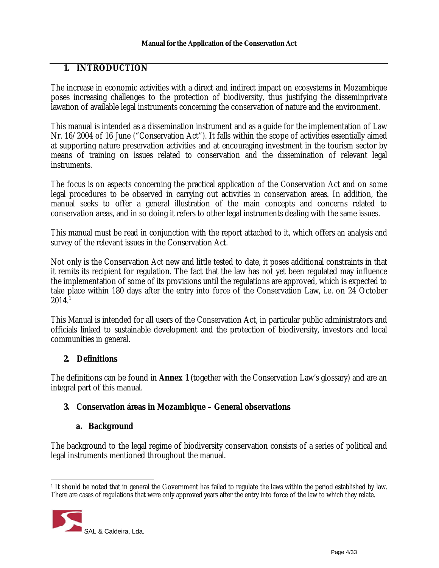# **1. INTRODUCTION**

The increase in economic activities with a direct and indirect impact on ecosystems in Mozambique poses increasing challenges to the protection of biodiversity, thus justifying the disseminprivate lawation of available legal instruments concerning the conservation of nature and the environment.

This manual is intended as a dissemination instrument and as a guide for the implementation of Law Nr. 16/2004 of 16 June ("Conservation Act"). It falls within the scope of activities essentially aimed at supporting nature preservation activities and at encouraging investment in the tourism sector by means of training on issues related to conservation and the dissemination of relevant legal instruments.

The focus is on aspects concerning the practical application of the Conservation Act and on some legal procedures to be observed in carrying out activities in conservation areas. In addition, the manual seeks to offer a general illustration of the main concepts and concerns related to conservation areas, and in so doing it refers to other legal instruments dealing with the same issues.

This manual must be read in conjunction with the report attached to it, which offers an analysis and survey of the relevant issues in the Conservation Act.

Not only is the Conservation Act new and little tested to date, it poses additional constraints in that it remits its recipient for regulation. The fact that the law has not yet been regulated may influence the implementation of some of its provisions until the regulations are approved, which is expected to take place within 180 days after the entry into force of the Conservation Law, i.e. on 24 October  $2014.<sup>1</sup>$ 

This Manual is intended for all users of the Conservation Act, in particular public administrators and officials linked to sustainable development and the protection of biodiversity, investors and local communities in general.

# **2. Definitions**

The definitions can be found in **Annex 1** (together with the Conservation Law's glossary) and are an integral part of this manual.

## **3. Conservation áreas in Mozambique – General observations**

## **a. Background**

The background to the legal regime of biodiversity conservation consists of a series of political and legal instruments mentioned throughout the manual.

<sup>1</sup> It should be noted that in general the Government has failed to regulate the laws within the period established by law. There are cases of regulations that were only approved years after the entry into force of the law to which they relate.

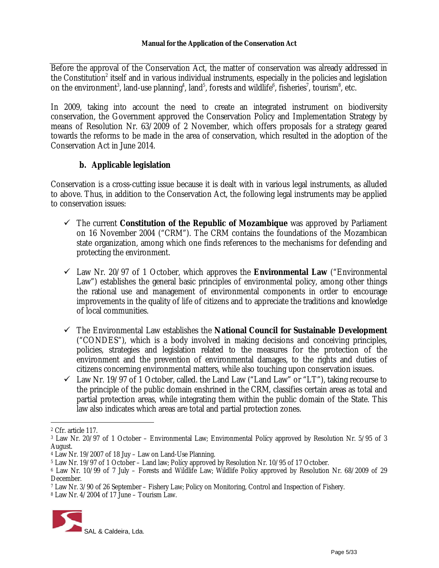Before the approval of the Conservation Act, the matter of conservation was already addressed in the Constitution<sup>2</sup> itself and in various individual instruments, especially in the policies and legislation on the environment<sup>3</sup>, land-use planning<sup>4</sup>, land<sup>5</sup>, forests and wildlife<sup>6</sup>, fisheries<sup>7</sup>, tourism<sup>8</sup>, etc.

In 2009, taking into account the need to create an integrated instrument on biodiversity conservation, the Government approved the Conservation Policy and Implementation Strategy by means of Resolution Nr. 63/2009 of 2 November, which offers proposals for a strategy geared towards the reforms to be made in the area of conservation, which resulted in the adoption of the Conservation Act in June 2014.

## **b. Applicable legislation**

Conservation is a cross-cutting issue because it is dealt with in various legal instruments, as alluded to above. Thus, in addition to the Conservation Act, the following legal instruments may be applied to conservation issues:

- The current **Constitution of the Republic of Mozambique** was approved by Parliament on 16 November 2004 ("CRM"). The CRM contains the foundations of the Mozambican state organization, among which one finds references to the mechanisms for defending and protecting the environment.
- Law Nr. 20/97 of 1 October, which approves the **Environmental Law** ("Environmental Law") establishes the general basic principles of environmental policy, among other things the rational use and management of environmental components in order to encourage improvements in the quality of life of citizens and to appreciate the traditions and knowledge of local communities.
- The Environmental Law establishes the **National Council for Sustainable Development** ("CONDES"), which is a body involved in making decisions and conceiving principles, policies, strategies and legislation related to the measures for the protection of the environment and the prevention of environmental damages, to the rights and duties of citizens concerning environmental matters, while also touching upon conservation issues.
- $\checkmark$  Law Nr. 19/97 of 1 October, called. the Land Law ("Land Law" or "LT"), taking recourse to the principle of the public domain enshrined in the CRM, classifies certain areas as total and partial protection areas, while integrating them within the public domain of the State. This law also indicates which areas are total and partial protection zones.

<sup>8</sup> Law Nr. 4/2004 of 17 June – Tourism Law.



<sup>2</sup> Cfr. article 117.

<sup>3</sup> Law Nr. 20/97 of 1 October – Environmental Law; Environmental Polícy approved by Resolution Nr. 5/95 of 3 August.

<sup>4</sup> Law Nr. 19/2007 of 18 Juy – Law on Land-Use Planning.

<sup>5</sup> Law Nr. 19/97 of 1 October – Land law; Polícy approved by Resolution Nr. 10/95 of 17 October.

<sup>6</sup> Law Nr. 10/99 of 7 July – Forests and Wildlife Law; Wildlife Polícy approved by Resolution Nr. 68/2009 of 29 December.

<sup>7</sup> Law Nr. 3/90 of 26 September – Fishery Law; Policy on Monitoring, Control and Inspection of Fishery.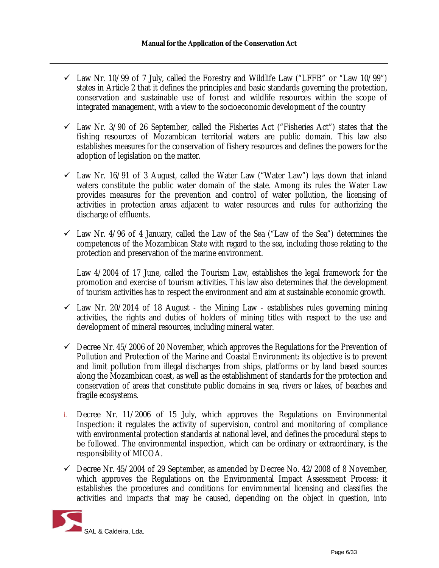- $\checkmark$  Law Nr. 10/99 of 7 July, called the Forestry and Wildlife Law ("LFFB" or "Law 10/99") states in Article 2 that it defines the principles and basic standards governing the protection, conservation and sustainable use of forest and wildlife resources within the scope of integrated management, with a view to the socioeconomic development of the country
- $\checkmark$  Law Nr. 3/90 of 26 September, called the Fisheries Act ("Fisheries Act") states that the fishing resources of Mozambican territorial waters are public domain. This law also establishes measures for the conservation of fishery resources and defines the powers for the adoption of legislation on the matter.
- $\checkmark$  Law Nr. 16/91 of 3 August, called the Water Law ("Water Law") lays down that inland waters constitute the public water domain of the state. Among its rules the Water Law provides measures for the prevention and control of water pollution, the licensing of activities in protection areas adjacent to water resources and rules for authorizing the discharge of effluents.
- $\checkmark$  Law Nr. 4/96 of 4 January, called the Law of the Sea ("Law of the Sea") determines the competences of the Mozambican State with regard to the sea, including those relating to the protection and preservation of the marine environment.

Law 4/2004 of 17 June, called the Tourism Law, establishes the legal framework for the promotion and exercise of tourism activities. This law also determines that the development of tourism activities has to respect the environment and aim at sustainable economic growth.

- $\checkmark$  Law Nr. 20/2014 of 18 August the Mining Law establishes rules governing mining activities, the rights and duties of holders of mining titles with respect to the use and development of mineral resources, including mineral water.
- $\checkmark$  Decree Nr. 45/2006 of 20 November, which approves the Regulations for the Prevention of Pollution and Protection of the Marine and Coastal Environment: its objective is to prevent and limit pollution from illegal discharges from ships, platforms or by land based sources along the Mozambican coast, as well as the establishment of standards for the protection and conservation of areas that constitute public domains in sea, rivers or lakes, of beaches and fragile ecosystems.
- *i.* Decree Nr. 11/2006 of 15 July, which approves the Regulations on Environmental Inspection: it regulates the activity of supervision, control and monitoring of compliance with environmental protection standards at national level, and defines the procedural steps to be followed. The environmental inspection, which can be ordinary or extraordinary, is the responsibility of MICOA.
- $\checkmark$  Decree Nr. 45/2004 of 29 September, as amended by Decree No. 42/2008 of 8 November, which approves the Regulations on the Environmental Impact Assessment Process: it establishes the procedures and conditions for environmental licensing and classifies the activities and impacts that may be caused, depending on the object in question, into

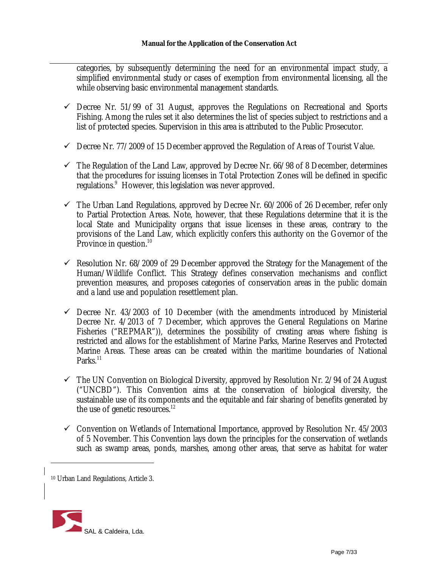categories, by subsequently determining the need for an environmental impact study, a simplified environmental study or cases of exemption from environmental licensing, all the while observing basic environmental management standards.

- $\checkmark$  Decree Nr. 51/99 of 31 August, approves the Regulations on Recreational and Sports Fishing. Among the rules set it also determines the list of species subject to restrictions and a list of protected species. Supervision in this area is attributed to the Public Prosecutor.
- $\checkmark$  Decree Nr. 77/2009 of 15 December approved the Regulation of Areas of Tourist Value.
- $\checkmark$  The Regulation of the Land Law, approved by Decree Nr. 66/98 of 8 December, determines that the procedures for issuing licenses in Total Protection Zones will be defined in specific regulations. <sup>9</sup> However, this legislation was never approved.
- $\checkmark$  The Urban Land Regulations, approved by Decree Nr. 60/2006 of 26 December, refer only to Partial Protection Areas. Note, however, that these Regulations determine that it is the local State and Municipality organs that issue licenses in these areas, contrary to the provisions of the Land Law, which explicitly confers this authority on the Governor of the Province in question.<sup>10</sup>
- $\checkmark$  Resolution Nr. 68/2009 of 29 December approved the Strategy for the Management of the Human/Wildlife Conflict. This Strategy defines conservation mechanisms and conflict prevention measures, and proposes categories of conservation areas in the public domain and a land use and population resettlement plan.
- $\checkmark$  Decree Nr. 43/2003 of 10 December (with the amendments introduced by Ministerial Decree Nr. 4/2013 of 7 December, which approves the General Regulations on Marine Fisheries ("REPMAR")), determines the possibility of creating areas where fishing is restricted and allows for the establishment of Marine Parks, Marine Reserves and Protected Marine Areas. These areas can be created within the maritime boundaries of National Parks.<sup>11</sup>
- $\checkmark$  The UN Convention on Biological Diversity, approved by Resolution Nr. 2/94 of 24 August ("UNCBD"). This Convention aims at the conservation of biological diversity, the sustainable use of its components and the equitable and fair sharing of benefits generated by the use of genetic resources.<sup>12</sup>
- $\checkmark$  Convention on Wetlands of International Importance, approved by Resolution Nr. 45/2003 of 5 November. This Convention lays down the principles for the conservation of wetlands such as swamp areas, ponds, marshes, among other areas, that serve as habitat for water

<sup>10</sup> Urban Land Regulations, Article 3.

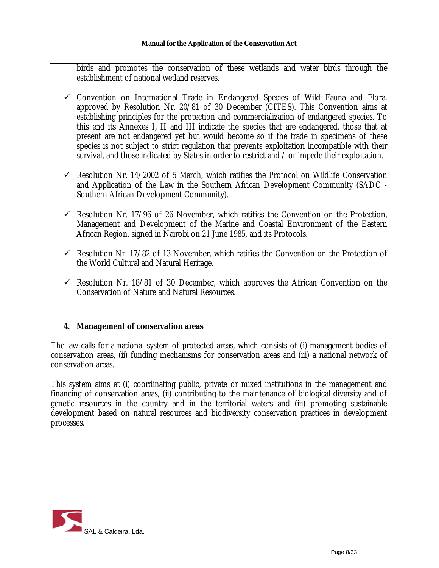birds and promotes the conservation of these wetlands and water birds through the establishment of national wetland reserves.

- $\checkmark$  Convention on International Trade in Endangered Species of Wild Fauna and Flora, approved by Resolution Nr. 20/81 of 30 December (CITES). This Convention aims at establishing principles for the protection and commercialization of endangered species. To this end its Annexes I, II and III indicate the species that are endangered, those that at present are not endangered yet but would become so if the trade in specimens of these species is not subject to strict regulation that prevents exploitation incompatible with their survival, and those indicated by States in order to restrict and / or impede their exploitation.
- $\checkmark$  Resolution Nr. 14/2002 of 5 March, which ratifies the Protocol on Wildlife Conservation and Application of the Law in the Southern African Development Community (SADC - Southern African Development Community).
- $\checkmark$  Resolution Nr. 17/96 of 26 November, which ratifies the Convention on the Protection, Management and Development of the Marine and Coastal Environment of the Eastern African Region, signed in Nairobi on 21 June 1985, and its Protocols.
- $\checkmark$  Resolution Nr. 17/82 of 13 November, which ratifies the Convention on the Protection of the World Cultural and Natural Heritage.
- $\checkmark$  Resolution Nr. 18/81 of 30 December, which approves the African Convention on the Conservation of Nature and Natural Resources.

## **4. Management of conservation areas**

The law calls for a national system of protected areas, which consists of (i) management bodies of conservation areas, (ii) funding mechanisms for conservation areas and (iii) a national network of conservation areas.

This system aims at (i) coordinating public, private or mixed institutions in the management and financing of conservation areas, (ii) contributing to the maintenance of biological diversity and of genetic resources in the country and in the territorial waters and (iii) promoting sustainable development based on natural resources and biodiversity conservation practices in development processes.

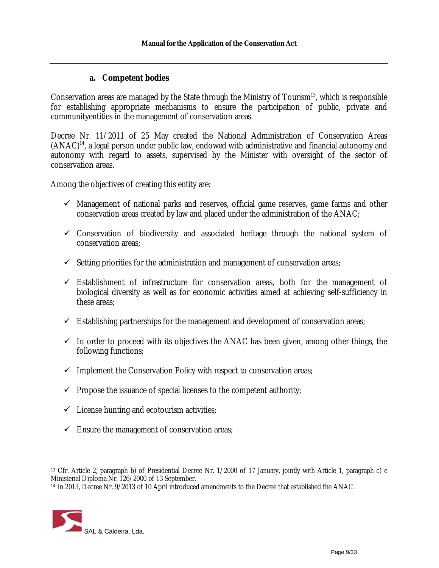## **a. Competent bodies**

Conservation areas are managed by the State through the Ministry of Tourism<sup>13</sup>, which is responsible for establishing appropriate mechanisms to ensure the participation of public, private and communityentities in the management of conservation areas.

Decree Nr. 11/2011 of 25 May created the National Administration of Conservation Areas (ANAC) 14 , a legal person under public law, endowed with administrative and financial autonomy and autonomy with regard to assets, supervised by the Minister with oversight of the sector of conservation areas.

Among the objectives of creating this entity are:

- $\checkmark$  Management of national parks and reserves, official game reserves, game farms and other conservation areas created by law and placed under the administration of the ANAC;
- $\checkmark$  Conservation of biodiversity and associated heritage through the national system of conservation areas;
- $\checkmark$  Setting priorities for the administration and management of conservation areas;
- $\checkmark$  Establishment of infrastructure for conservation areas, both for the management of biological diversity as well as for economic activities aimed at achieving self-sufficiency in these areas;
- $\checkmark$  Establishing partnerships for the management and development of conservation areas;
- $\checkmark$  In order to proceed with its objectives the ANAC has been given, among other things, the following functions;
- $\checkmark$  Implement the Conservation Policy with respect to conservation areas;
- $\checkmark$  Propose the issuance of special licenses to the competent authority;
- $\checkmark$  License hunting and ecotourism activities;
- $\checkmark$  Ensure the management of conservation areas;

<sup>14</sup> In 2013, Decree Nr. 9/2013 of 10 April introduced amendments to the Decree that established the ANAC.



<sup>13</sup> Cfr. Article 2, paragraph b) of Presidential Decree Nr. 1/2000 of 17 January, jointly with Article 1, paragraph c) e Ministerial Diploma Nr. 126/2000 of 13 September.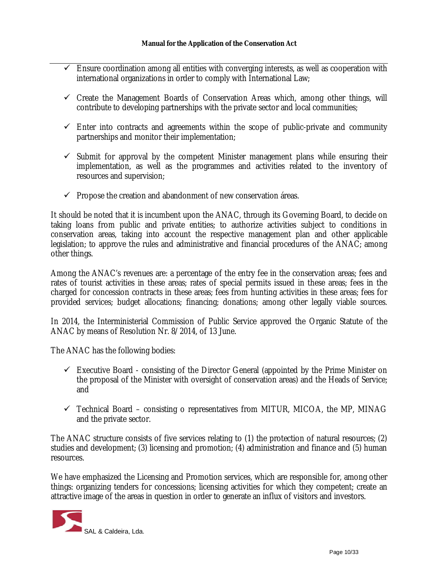- $\checkmark$  Ensure coordination among all entities with converging interests, as well as cooperation with international organizations in order to comply with International Law;
- $\checkmark$  Create the Management Boards of Conservation Areas which, among other things, will contribute to developing partnerships with the private sector and local communities;
- $\checkmark$  Enter into contracts and agreements within the scope of public-private and community partnerships and monitor their implementation;
- $\checkmark$  Submit for approval by the competent Minister management plans while ensuring their implementation, as well as the programmes and activities related to the inventory of resources and supervision;
- $\checkmark$  Propose the creation and abandonment of new conservation áreas.

It should be noted that it is incumbent upon the ANAC, through its Governing Board, to decide on taking loans from public and private entities; to authorize activities subject to conditions in conservation areas, taking into account the respective management plan and other applicable legislation; to approve the rules and administrative and financial procedures of the ANAC; among other things.

Among the ANAC's revenues are: a percentage of the entry fee in the conservation areas; fees and rates of tourist activities in these areas; rates of special permits issued in these areas; fees in the charged for concession contracts in these areas; fees from hunting activities in these areas; fees for provided services; budget allocations; financing; donations; among other legally viable sources.

In 2014, the Interministerial Commission of Public Service approved the Organic Statute of the ANAC by means of Resolution Nr. 8/2014, of 13 June.

The ANAC has the following bodies:

- $\checkmark$  Executive Board consisting of the Director General (appointed by the Prime Minister on the proposal of the Minister with oversight of conservation areas) and the Heads of Service; and
- $\checkmark$  Technical Board consisting o representatives from MITUR, MICOA, the MP, MINAG and the private sector.

The ANAC structure consists of five services relating to (1) the protection of natural resources; (2) studies and development; (3) licensing and promotion; (4) administration and finance and (5) human resources.

We have emphasized the Licensing and Promotion services, which are responsible for, among other things: organizing tenders for concessions; licensing activities for which they competent; create an attractive image of the areas in question in order to generate an influx of visitors and investors.

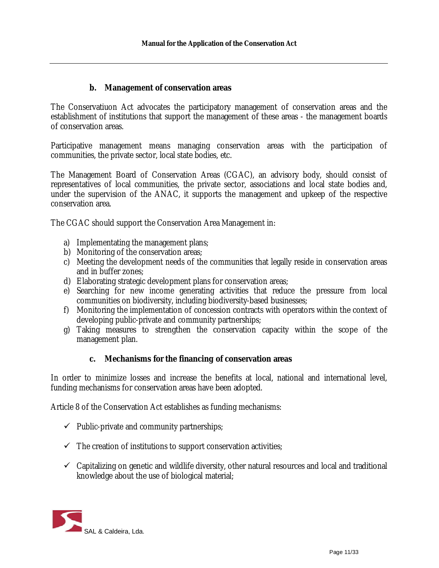## **b. Management of conservation areas**

The Conservatiuon Act advocates the participatory management of conservation areas and the establishment of institutions that support the management of these areas - the management boards of conservation areas.

Participative management means managing conservation areas with the participation of communities, the private sector, local state bodies, etc.

The Management Board of Conservation Areas (CGAC), an advisory body, should consist of representatives of local communities, the private sector, associations and local state bodies and, under the supervision of the ANAC, it supports the management and upkeep of the respective conservation area.

The CGAC should support the Conservation Area Management in:

- a) Implementating the management plans;
- b) Monitoring of the conservation areas;
- c) Meeting the development needs of the communities that legally reside in conservation areas and in buffer zones;
- d) Elaborating strategic development plans for conservation areas;
- e) Searching for new income generating activities that reduce the pressure from local communities on biodiversity, including biodiversity-based businesses;
- f) Monitoring the implementation of concession contracts with operators within the context of developing public-private and community partnerships;
- g) Taking measures to strengthen the conservation capacity within the scope of the management plan.

## **c. Mechanisms for the financing of conservation areas**

In order to minimize losses and increase the benefits at local, national and international level, funding mechanisms for conservation areas have been adopted.

Article 8 of the Conservation Act establishes as funding mechanisms:

- $\checkmark$  Public-private and community partnerships;
- $\checkmark$  The creation of institutions to support conservation activities;
- $\checkmark$  Capitalizing on genetic and wildlife diversity, other natural resources and local and traditional knowledge about the use of biological material;

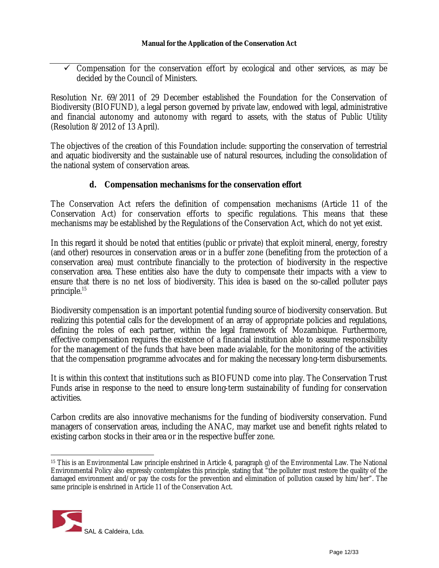$\checkmark$  Compensation for the conservation effort by ecological and other services, as may be decided by the Council of Ministers.

Resolution Nr. 69/2011 of 29 December established the Foundation for the Conservation of Biodiversity (BIOFUND), a legal person governed by private law, endowed with legal, administrative and financial autonomy and autonomy with regard to assets, with the status of Public Utility (Resolution 8/2012 of 13 April).

The objectives of the creation of this Foundation include: supporting the conservation of terrestrial and aquatic biodiversity and the sustainable use of natural resources, including the consolidation of the national system of conservation areas.

## **d. Compensation mechanisms for the conservation effort**

The Conservation Act refers the definition of compensation mechanisms (Article 11 of the Conservation Act) for conservation efforts to specific regulations. This means that these mechanisms may be established by the Regulations of the Conservation Act, which do not yet exist.

In this regard it should be noted that entities (public or private) that exploit mineral, energy, forestry (and other) resources in conservation areas or in a buffer zone (benefiting from the protection of a conservation area) must contribute financially to the protection of biodiversity in the respective conservation area. These entities also have the duty to compensate their impacts with a view to ensure that there is no net loss of biodiversity. This idea is based on the so-called polluter pays principle. 15

Biodiversity compensation is an important potential funding source of biodiversity conservation. But realizing this potential calls for the development of an array of appropriate policies and regulations, defining the roles of each partner, within the legal framework of Mozambique. Furthermore, effective compensation requires the existence of a financial institution able to assume responsibility for the management of the funds that have been made avialable, for the monitoring of the activities that the compensation programme advocates and for making the necessary long-term disbursements.

It is within this context that institutions such as BIOFUND come into play. The Conservation Trust Funds arise in response to the need to ensure long-term sustainability of funding for conservation activities.

Carbon credits are also innovative mechanisms for the funding of biodiversity conservation. Fund managers of conservation areas, including the ANAC, may market use and benefit rights related to existing carbon stocks in their area or in the respective buffer zone.

<sup>15</sup> This is an Environmental Law principle enshrined in Article 4, paragraph g) of the Environmental Law. The National Environmental Policy also expressly contemplates this principle, stating that "the polluter must restore the quality of the damaged environment and/or pay the costs for the prevention and elimination of pollution caused by him/her". The same principle is enshrined in Article 11 of the Conservation Act.

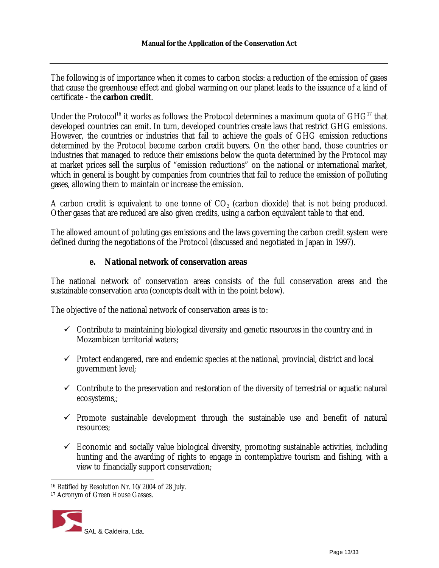The following is of importance when it comes to carbon stocks: a reduction of the emission of gases that cause the greenhouse effect and global warming on our planet leads to the issuance of a kind of certificate - the **carbon credit**.

Under the Protocol<sup>16</sup> it works as follows: the Protocol determines a maximum quota of  $GHG<sup>17</sup>$  that developed countries can emit. In turn, developed countries create laws that restrict GHG emissions. However, the countries or industries that fail to achieve the goals of GHG emission reductions determined by the Protocol become carbon credit buyers. On the other hand, those countries or industries that managed to reduce their emissions below the quota determined by the Protocol may at market prices sell the surplus of "emission reductions" on the national or international market, which in general is bought by companies from countries that fail to reduce the emission of polluting gases, allowing them to maintain or increase the emission.

A carbon credit is equivalent to one tonne of CO $_{\rm 2}$  (carbon dioxide) that is not being produced. Other gases that are reduced are also given credits, using a carbon equivalent table to that end.

The allowed amount of poluting gas emissions and the laws governing the carbon credit system were defined during the negotiations of the Protocol (discussed and negotiated in Japan in 1997).

## **e. National network of conservation areas**

The national network of conservation areas consists of the full conservation areas and the sustainable conservation area (concepts dealt with in the point below).

The objective of the national network of conservation areas is to:

- $\checkmark$  Contribute to maintaining biological diversity and genetic resources in the country and in Mozambican territorial waters;
- $\checkmark$  Protect endangered, rare and endemic species at the national, provincial, district and local government level;
- $\checkmark$  Contribute to the preservation and restoration of the diversity of terrestrial or aquatic natural ecosystems,;
- $\checkmark$  Promote sustainable development through the sustainable use and benefit of natural resources;
- $\checkmark$  Economic and socially value biological diversity, promoting sustainable activities, including hunting and the awarding of rights to engage in contemplative tourism and fishing, with a view to financially support conservation;

<sup>17</sup> Acronym of Green House Gasses.



<sup>16</sup> Ratified by Resolution Nr. 10/2004 of 28 July.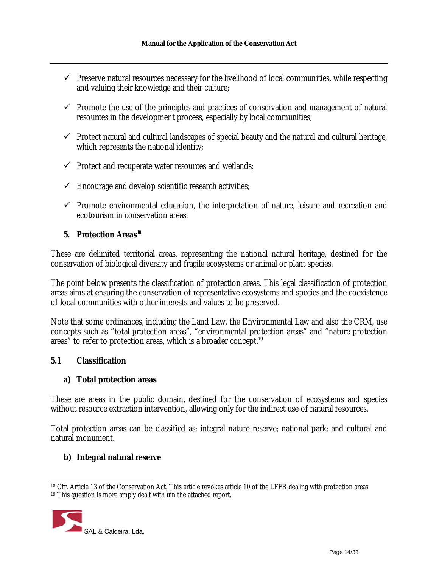- $\checkmark$  Preserve natural resources necessary for the livelihood of local communities, while respecting and valuing their knowledge and their culture;
- $\checkmark$  Promote the use of the principles and practices of conservation and management of natural resources in the development process, especially by local communities;
- $\checkmark$  Protect natural and cultural landscapes of special beauty and the natural and cultural heritage, which represents the national identity;
- $\checkmark$  Protect and recuperate water resources and wetlands;
- $\checkmark$  Encourage and develop scientific research activities;
- $\checkmark$  Promote environmental education, the interpretation of nature, leisure and recreation and ecotourism in conservation areas.

# **5. Protection Areas 18**

These are delimited territorial areas, representing the national natural heritage, destined for the conservation of biological diversity and fragile ecosystems or animal or plant species.

The point below presents the classification of protection areas. This legal classification of protection areas aims at ensuring the conservation of representative ecosystems and species and the coexistence of local communities with other interests and values to be preserved.

Note that some ordinances, including the Land Law, the Environmental Law and also the CRM, use concepts such as "total protection areas", "environmental protection areas" and "nature protection areas" to refer to protection areas, which is a broader concept. 19

#### **5.1 Classification**

#### **a) Total protection areas**

These are areas in the public domain, destined for the conservation of ecosystems and species without resource extraction intervention, allowing only for the indirect use of natural resources.

Total protection areas can be classified as: integral nature reserve; national park; and cultural and natural monument.

## **b) Integral natural reserve**

<sup>&</sup>lt;sup>19</sup> This question is more amply dealt with uin the attached report.



<sup>18</sup> Cfr. Article 13 of the Conservation Act. This article revokes article 10 of the LFFB dealing with protection areas.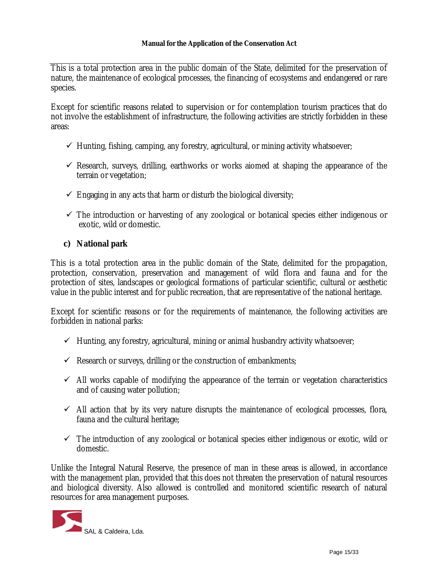This is a total protection area in the public domain of the State, delimited for the preservation of nature, the maintenance of ecological processes, the financing of ecosystems and endangered or rare species.

Except for scientific reasons related to supervision or for contemplation tourism practices that do not involve the establishment of infrastructure, the following activities are strictly forbidden in these areas:

- $\checkmark$  Hunting, fishing, camping, any forestry, agricultural, or mining activity whatsoever;
- $\checkmark$  Research, surveys, drilling, earthworks or works aiomed at shaping the appearance of the terrain or vegetation;
- $\checkmark$  Engaging in any acts that harm or disturb the biological diversity;
- $\checkmark$  The introduction or harvesting of any zoological or botanical species either indigenous or exotic, wild or domestic.

## **c) National park**

This is a total protection area in the public domain of the State, delimited for the propagation, protection, conservation, preservation and management of wild flora and fauna and for the protection of sites, landscapes or geological formations of particular scientific, cultural or aesthetic value in the public interest and for public recreation, that are representative of the national heritage.

Except for scientific reasons or for the requirements of maintenance, the following activities are forbidden in national parks:

- $\checkmark$  Hunting, any forestry, agricultural, mining or animal husbandry activity whatsoever;
- $\checkmark$  Research or surveys, drilling or the construction of embankments;
- $\checkmark$  All works capable of modifying the appearance of the terrain or vegetation characteristics and of causing water pollution;
- $\checkmark$  All action that by its very nature disrupts the maintenance of ecological processes, flora, fauna and the cultural heritage;
- $\checkmark$  The introduction of any zoological or botanical species either indigenous or exotic, wild or domestic.

Unlike the Integral Natural Reserve, the presence of man in these areas is allowed, in accordance with the management plan, provided that this does not threaten the preservation of natural resources and biological diversity. Also allowed is controlled and monitored scientific research of natural resources for area management purposes.

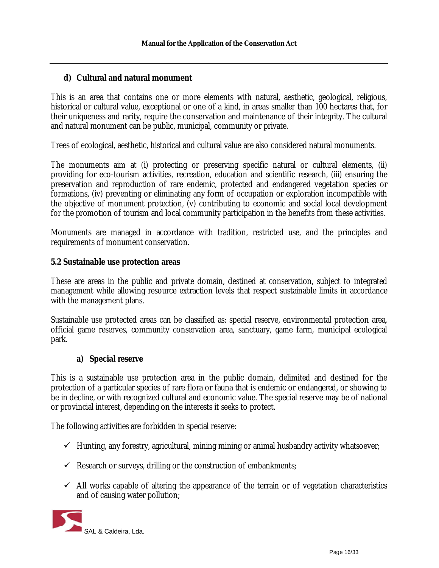## **d) Cultural and natural monument**

This is an area that contains one or more elements with natural, aesthetic, geological, religious, historical or cultural value, exceptional or one of a kind, in areas smaller than 100 hectares that, for their uniqueness and rarity, require the conservation and maintenance of their integrity. The cultural and natural monument can be public, municipal, community or private.

Trees of ecological, aesthetic, historical and cultural value are also considered natural monuments.

The monuments aim at (i) protecting or preserving specific natural or cultural elements, (ii) providing for eco-tourism activities, recreation, education and scientific research, (iii) ensuring the preservation and reproduction of rare endemic, protected and endangered vegetation species or formations, (iv) preventing or eliminating any form of occupation or exploration incompatible with the objective of monument protection, (v) contributing to economic and social local development for the promotion of tourism and local community participation in the benefits from these activities.

Monuments are managed in accordance with tradition, restricted use, and the principles and requirements of monument conservation.

## **5.2 Sustainable use protection areas**

These are areas in the public and private domain, destined at conservation, subject to integrated management while allowing resource extraction levels that respect sustainable limits in accordance with the management plans.

Sustainable use protected areas can be classified as: special reserve, environmental protection area, official game reserves, community conservation area, sanctuary, game farm, municipal ecological park.

## **a) Special reserve**

This is a sustainable use protection area in the public domain, delimited and destined for the protection of a particular species of rare flora or fauna that is endemic or endangered, or showing to be in decline, or with recognized cultural and economic value. The special reserve may be of national or provincial interest, depending on the interests it seeks to protect.

The following activities are forbidden in special reserve:

- $\checkmark$  Hunting, any forestry, agricultural, mining mining or animal husbandry activity whatsoever;
- $\checkmark$  Research or surveys, drilling or the construction of embankments;
- $\checkmark$  All works capable of altering the appearance of the terrain or of vegetation characteristics and of causing water pollution;

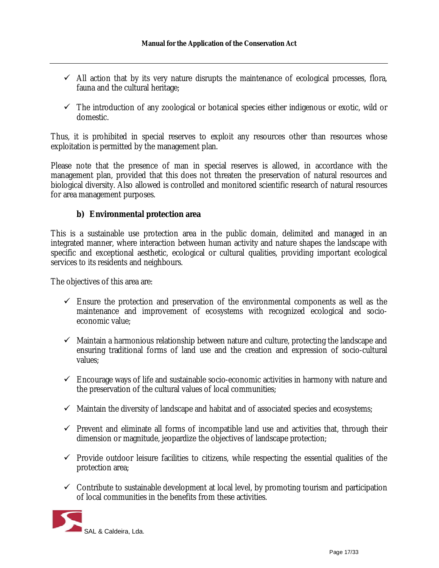- $\checkmark$  All action that by its very nature disrupts the maintenance of ecological processes, flora, fauna and the cultural heritage;
- $\checkmark$  The introduction of any zoological or botanical species either indigenous or exotic, wild or domestic.

Thus, it is prohibited in special reserves to exploit any resources other than resources whose exploitation is permitted by the management plan.

Please note that the presence of man in special reserves is allowed, in accordance with the management plan, provided that this does not threaten the preservation of natural resources and biological diversity. Also allowed is controlled and monitored scientific research of natural resources for area management purposes.

## **b) Environmental protection area**

This is a sustainable use protection area in the public domain, delimited and managed in an integrated manner, where interaction between human activity and nature shapes the landscape with specific and exceptional aesthetic, ecological or cultural qualities, providing important ecological services to its residents and neighbours.

The objectives of this area are:

- $\checkmark$  Ensure the protection and preservation of the environmental components as well as the maintenance and improvement of ecosystems with recognized ecological and socioeconomic value;
- $\checkmark$  Maintain a harmonious relationship between nature and culture, protecting the landscape and ensuring traditional forms of land use and the creation and expression of socio-cultural values;
- $\checkmark$  Encourage ways of life and sustainable socio-economic activities in harmony with nature and the preservation of the cultural values of local communities;
- $\checkmark$  Maintain the diversity of landscape and habitat and of associated species and ecosystems;
- $\checkmark$  Prevent and eliminate all forms of incompatible land use and activities that, through their dimension or magnitude, jeopardize the objectives of landscape protection;
- $\checkmark$  Provide outdoor leisure facilities to citizens, while respecting the essential qualities of the protection area;
- $\checkmark$  Contribute to sustainable development at local level, by promoting tourism and participation of local communities in the benefits from these activities.

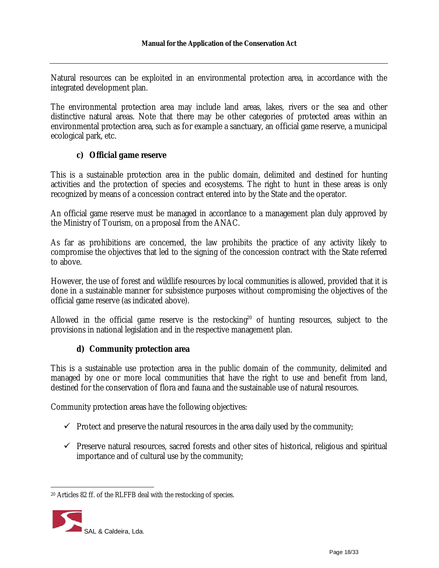Natural resources can be exploited in an environmental protection area, in accordance with the integrated development plan.

The environmental protection area may include land areas, lakes, rivers or the sea and other distinctive natural areas. Note that there may be other categories of protected areas within an environmental protection area, such as for example a sanctuary, an official game reserve, a municipal ecological park, etc.

## **c) Official game reserve**

This is a sustainable protection area in the public domain, delimited and destined for hunting activities and the protection of species and ecosystems. The right to hunt in these areas is only recognized by means of a concession contract entered into by the State and the operator.

An official game reserve must be managed in accordance to a management plan duly approved by the Ministry of Tourism, on a proposal from the ANAC.

As far as prohibitions are concerned, the law prohibits the practice of any activity likely to compromise the objectives that led to the signing of the concession contract with the State referred to above.

However, the use of forest and wildlife resources by local communities is allowed, provided that it is done in a sustainable manner for subsistence purposes without compromising the objectives of the official game reserve (as indicated above).

Allowed in the official game reserve is the restocking<sup>20</sup> of hunting resources, subject to the provisions in national legislation and in the respective management plan.

## **d) Community protection area**

This is a sustainable use protection area in the public domain of the community, delimited and managed by one or more local communities that have the right to use and benefit from land, destined for the conservation of flora and fauna and the sustainable use of natural resources.

Community protection areas have the following objectives:

- $\checkmark$  Protect and preserve the natural resources in the area daily used by the community;
- $\checkmark$  Preserve natural resources, sacred forests and other sites of historical, religious and spiritual importance and of cultural use by the community;

<sup>20</sup> Articles 82 ff. of the RLFFB deal with the restocking of species.

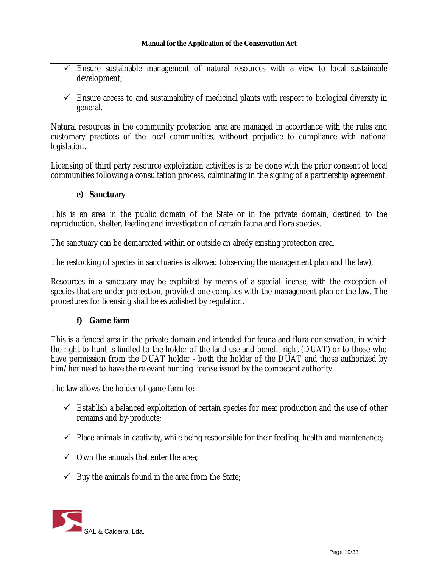- $\checkmark$  Ensure sustainable management of natural resources with a view to local sustainable development;
- $\checkmark$  Ensure access to and sustainability of medicinal plants with respect to biological diversity in general.

Natural resources in the community protection area are managed in accordance with the rules and customary practices of the local communities, withourt prejudice to compliance with national legislation.

Licensing of third party resource exploitation activities is to be done with the prior consent of local communities following a consultation process, culminating in the signing of a partnership agreement.

## **e) Sanctuary**

This is an area in the public domain of the State or in the private domain, destined to the reproduction, shelter, feeding and investigation of certain fauna and flora species.

The sanctuary can be demarcated within or outside an alredy existing protection area.

The restocking of species in sanctuaries is allowed (observing the management plan and the law).

Resources in a sanctuary may be exploited by means of a special license, with the exception of species that are under protection, provided one complies with the management plan or the law. The procedures for licensing shall be established by regulation.

## **f) Game farm**

This is a fenced area in the private domain and intended for fauna and flora conservation, in which the right to hunt is limited to the holder of the land use and benefit right (DUAT) or to those who have permission from the DUAT holder - both the holder of the DUAT and those authorized by him/her need to have the relevant hunting license issued by the competent authority.

The law allows the holder of game farm to:

- $\checkmark$  Establish a balanced exploitation of certain species for meat production and the use of other remains and by-products;
- $\checkmark$  Place animals in captivity, while being responsible for their feeding, health and maintenance;
- $\checkmark$  Own the animals that enter the area;
- $\checkmark$  Buy the animals found in the area from the State;

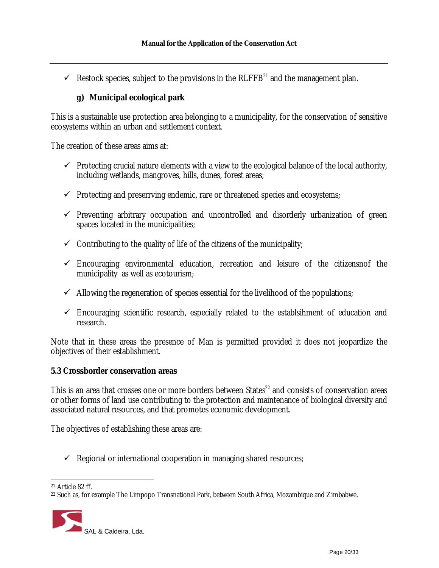$\checkmark$  Restock species, subject to the provisions in the RLFFB<sup>21</sup> and the management plan.

## **g) Municipal ecological park**

This is a sustainable use protection area belonging to a municipality, for the conservation of sensitive ecosystems within an urban and settlement context.

The creation of these areas aims at:

- $\checkmark$  Protecting crucial nature elements with a view to the ecological balance of the local authority, including wetlands, mangroves, hills, dunes, forest areas;
- $\checkmark$  Protecting and preserrving endemic, rare or threatened species and ecosystems;
- $\checkmark$  Preventing arbitrary occupation and uncontrolled and disorderly urbanization of green spaces located in the municipalities;
- $\checkmark$  Contributing to the quality of life of the citizens of the municipality;
- $\checkmark$  Encouraging environmental education, recreation and leisure of the citizensnof the municipality as well as ecotourism;
- $\checkmark$  Allowing the regeneration of species essential for the livelihood of the populations;
- $\checkmark$  Encouraging scientific research, especially related to the establsihment of education and research.

Note that in these areas the presence of Man is permitted provided it does not jeopardize the objectives of their establishment.

## **5.3 Crossborder conservation areas**

This is an area that crosses one or more borders between States<sup>22</sup> and consists of conservation areas or other forms of land use contributing to the protection and maintenance of biological diversity and associated natural resources, and that promotes economic development.

The objectives of establishing these areas are:

 $\checkmark$  Regional or international cooperation in managing shared resources;

<sup>&</sup>lt;sup>22</sup> Such as, for example The Limpopo Transnational Park, between South Africa, Mozambique and Zimbabwe.



<sup>21</sup> Article 82 ff.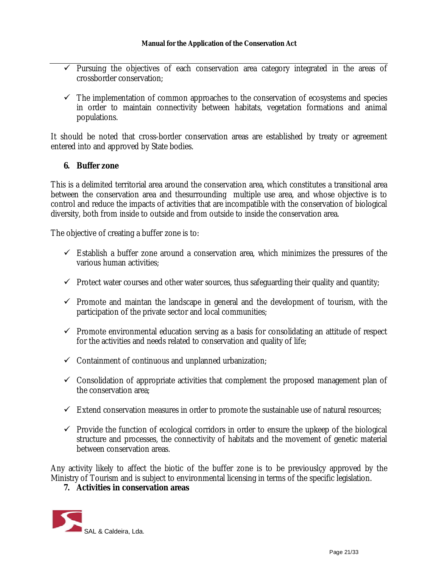- $\checkmark$  Pursuing the objectives of each conservation area category integrated in the areas of crossborder conservation;
- $\checkmark$  The implementation of common approaches to the conservation of ecosystems and species in order to maintain connectivity between habitats, vegetation formations and animal populations.

It should be noted that cross-border conservation areas are established by treaty or agreement entered into and approved by State bodies.

## **6. Buffer zone**

This is a delimited territorial area around the conservation area, which constitutes a transitional area between the conservation area and thesurrounding multiple use area, and whose objective is to control and reduce the impacts of activities that are incompatible with the conservation of biological diversity, both from inside to outside and from outside to inside the conservation area.

The objective of creating a buffer zone is to:

- $\checkmark$  Establish a buffer zone around a conservation area, which minimizes the pressures of the various human activities;
- $\checkmark$  Protect water courses and other water sources, thus safeguarding their quality and quantity;
- $\checkmark$  Promote and maintan the landscape in general and the development of tourism, with the participation of the private sector and local communities;
- $\checkmark$  Promote environmental education serving as a basis for consolidating an attitude of respect for the activities and needs related to conservation and quality of life;
- $\checkmark$  Containment of continuous and unplanned urbanization;
- $\checkmark$  Consolidation of appropriate activities that complement the proposed management plan of the conservation area;
- $\checkmark$  Extend conservation measures in order to promote the sustainable use of natural resources;
- $\checkmark$  Provide the function of ecological corridors in order to ensure the upkeep of the biological structure and processes, the connectivity of habitats and the movement of genetic material between conservation areas.

Any activity likely to affect the biotic of the buffer zone is to be previouslçy approved by the Ministry of Tourism and is subject to environmental licensing in terms of the specific legislation.

#### **7. Activities in conservation areas**

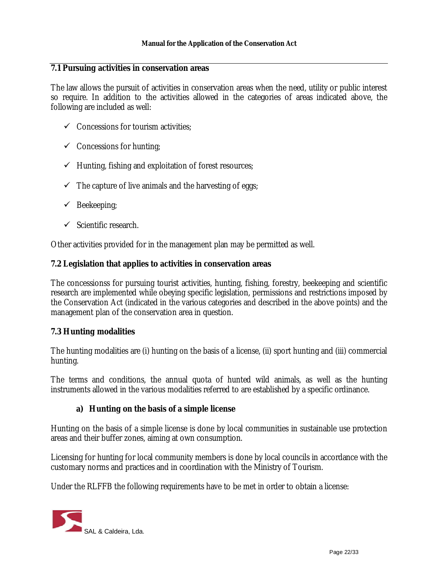#### **7.1 Pursuing activities in conservation areas**

The law allows the pursuit of activities in conservation areas when the need, utility or public interest so require. In addition to the activities allowed in the categories of areas indicated above, the following are included as well:

- $\checkmark$  Concessions for tourism activities;
- $\checkmark$  Concessions for hunting;
- $\checkmark$  Hunting, fishing and exploitation of forest resources;
- $\checkmark$  The capture of live animals and the harvesting of eggs;
- $\checkmark$  Beekeeping;
- $\checkmark$  Scientific research.

Other activities provided for in the management plan may be permitted as well.

#### **7.2 Legislation that applies to activities in conservation areas**

The concessionss for pursuing tourist activities, hunting, fishing, forestry, beekeeping and scientific research are implemented while obeying specific legislation, permissions and restrictions imposed by the Conservation Act (indicated in the various categories and described in the above points) and the management plan of the conservation area in question.

#### **7.3 Hunting modalities**

The hunting modalities are (i) hunting on the basis of a license, (ii) sport hunting and (iii) commercial hunting.

The terms and conditions, the annual quota of hunted wild animals, as well as the hunting instruments allowed in the various modalities referred to are established by a specific ordinance.

#### **a) Hunting on the basis of a simple license**

Hunting on the basis of a simple license is done by local communities in sustainable use protection areas and their buffer zones, aiming at own consumption.

Licensing for hunting for local community members is done by local councils in accordance with the customary norms and practices and in coordination with the Ministry of Tourism.

Under the RLFFB the following requirements have to be met in order to obtain a license:

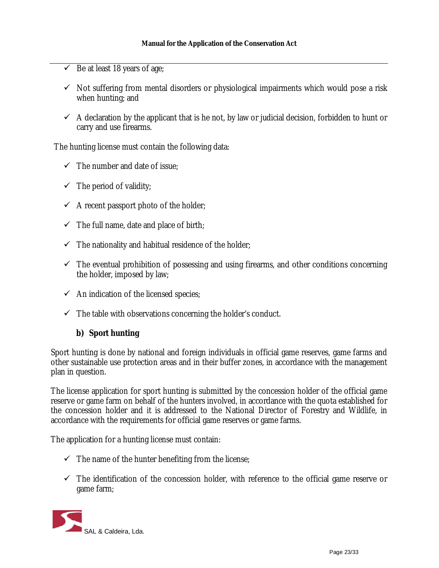- $\checkmark$  Be at least 18 years of age;
- $\checkmark$  Not suffering from mental disorders or physiological impairments which would pose a risk when hunting; and
- $\checkmark$  A declaration by the applicant that is he not, by law or judicial decision, forbidden to hunt or carry and use firearms.

The hunting license must contain the following data:

- $\checkmark$  The number and date of issue;
- $\checkmark$  The period of validity;
- $\checkmark$  A recent passport photo of the holder;
- $\checkmark$  The full name, date and place of birth;
- $\checkmark$  The nationality and habitual residence of the holder;
- $\checkmark$  The eventual prohibition of possessing and using firearms, and other conditions concerning the holder, imposed by law;
- $\checkmark$  An indication of the licensed species;
- $\checkmark$  The table with observations concerning the holder's conduct.

## **b) Sport hunting**

Sport hunting is done by national and foreign individuals in official game reserves, game farms and other sustainable use protection areas and in their buffer zones, in accordance with the management plan in question.

The license application for sport hunting is submitted by the concession holder of the official game reserve or game farm on behalf of the hunters involved, in accordance with the quota established for the concession holder and it is addressed to the National Director of Forestry and Wildlife, in accordance with the requirements for official game reserves or game farms.

The application for a hunting license must contain:

- $\checkmark$  The name of the hunter benefiting from the license;
- $\checkmark$  The identification of the concession holder, with reference to the official game reserve or game farm;

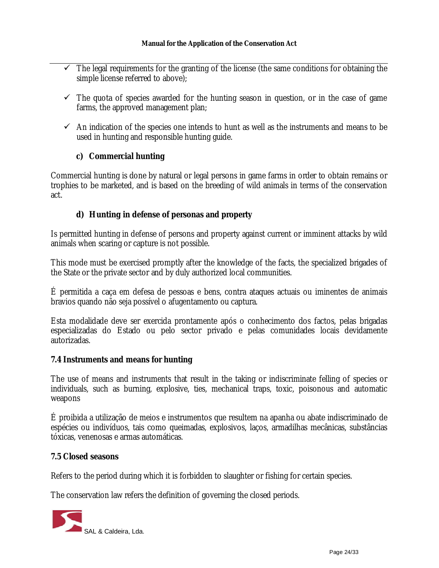- $\checkmark$  The legal requirements for the granting of the license (the same conditions for obtaining the simple license referred to above);
- $\checkmark$  The quota of species awarded for the hunting season in question, or in the case of game farms, the approved management plan;
- $\checkmark$  An indication of the species one intends to hunt as well as the instruments and means to be used in hunting and responsible hunting guide.

# **c) Commercial hunting**

Commercial hunting is done by natural or legal persons in game farms in order to obtain remains or trophies to be marketed, and is based on the breeding of wild animals in terms of the conservation act.

## **d) Hunting in defense of personas and property**

Is permitted hunting in defense of persons and property against current or imminent attacks by wild animals when scaring or capture is not possible.

This mode must be exercised promptly after the knowledge of the facts, the specialized brigades of the State or the private sector and by duly authorized local communities.

É permitida a caça em defesa de pessoas e bens, contra ataques actuais ou iminentes de animais bravios quando não seja possível o afugentamento ou captura.

Esta modalidade deve ser exercida prontamente após o conhecimento dos factos, pelas brigadas especializadas do Estado ou pelo sector privado e pelas comunidades locais devidamente autorizadas.

## **7.4 Instruments and means for hunting**

The use of means and instruments that result in the taking or indiscriminate felling of species or individuals, such as burning, explosive, ties, mechanical traps, toxic, poisonous and automatic weapons

É proibida a utilização de meios e instrumentos que resultem na apanha ou abate indiscriminado de espécies ou indivíduos, tais como queimadas, explosivos, laços, armadilhas mecânicas, substâncias tóxicas, venenosas e armas automáticas.

## **7.5 Closed seasons**

Refers to the period during which it is forbidden to slaughter or fishing for certain species.

The conservation law refers the definition of governing the closed periods.

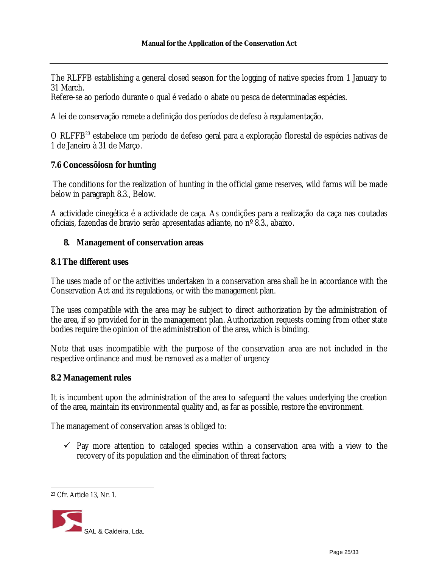The RLFFB establishing a general closed season for the logging of native species from 1 January to 31 March.

Refere-se ao período durante o qual é vedado o abate ou pesca de determinadas espécies.

A lei de conservação remete a definição dos períodos de defeso à regulamentação.

O RLFFB<sup>23</sup> estabelece um período de defeso geral para a exploração florestal de espécies nativas de 1 de Janeiro à 31 de Março.

## **7.6 Concessõiosn for hunting**

The conditions for the realization of hunting in the official game reserves, wild farms will be made below in paragraph 8.3., Below.

A actividade cinegética é a actividade de caça. As condições para a realização da caça nas coutadas oficiais, fazendas de bravio serão apresentadas adiante, no nº 8.3., abaixo.

## **8. Management of conservation areas**

#### **8.1 The different uses**

The uses made of or the activities undertaken in a conservation area shall be in accordance with the Conservation Act and its regulations, or with the management plan.

The uses compatible with the area may be subject to direct authorization by the administration of the area, if so provided for in the management plan. Authorization requests coming from other state bodies require the opinion of the administration of the area, which is binding.

Note that uses incompatible with the purpose of the conservation area are not included in the respective ordinance and must be removed as a matter of urgency

#### **8.2 Management rules**

It is incumbent upon the administration of the area to safeguard the values underlying the creation of the area, maintain its environmental quality and, as far as possible, restore the environment.

The management of conservation areas is obliged to:

 $\checkmark$  Pay more attention to cataloged species within a conservation area with a view to the recovery of its population and the elimination of threat factors;

<sup>23</sup> Cfr. Article 13, Nr. 1.

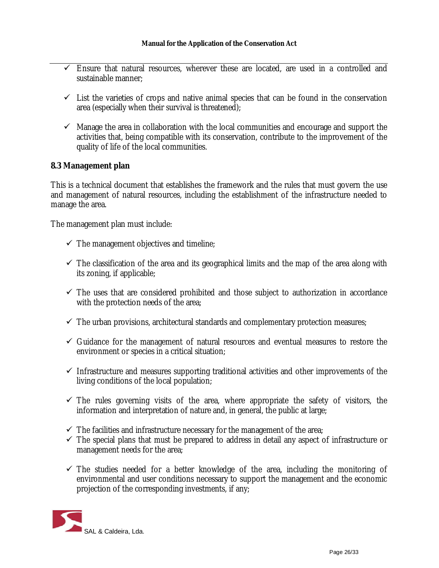- $\checkmark$  Ensure that natural resources, wherever these are located, are used in a controlled and sustainable manner;
- $\checkmark$  List the varieties of crops and native animal species that can be found in the conservation area (especially when their survival is threatened);
- $\checkmark$  Manage the area in collaboration with the local communities and encourage and support the activities that, being compatible with its conservation, contribute to the improvement of the quality of life of the local communities.

## **8.3 Management plan**

This is a technical document that establishes the framework and the rules that must govern the use and management of natural resources, including the establishment of the infrastructure needed to manage the area.

The management plan must include:

- $\checkmark$  The management objectives and timeline;
- $\checkmark$  The classification of the area and its geographical limits and the map of the area along with its zoning, if applicable;
- $\checkmark$  The uses that are considered prohibited and those subject to authorization in accordance with the protection needs of the area;
- $\checkmark$  The urban provisions, architectural standards and complementary protection measures;
- $\checkmark$  Guidance for the management of natural resources and eventual measures to restore the environment or species in a critical situation;
- $\checkmark$  Infrastructure and measures supporting traditional activities and other improvements of the living conditions of the local population;
- $\checkmark$  The rules governing visits of the area, where appropriate the safety of visitors, the information and interpretation of nature and, in general, the public at large;
- $\checkmark$  The facilities and infrastructure necessary for the management of the area;
- $\checkmark$  The special plans that must be prepared to address in detail any aspect of infrastructure or management needs for the area;
- $\checkmark$  The studies needed for a better knowledge of the area, including the monitoring of environmental and user conditions necessary to support the management and the economic projection of the corresponding investments, if any;

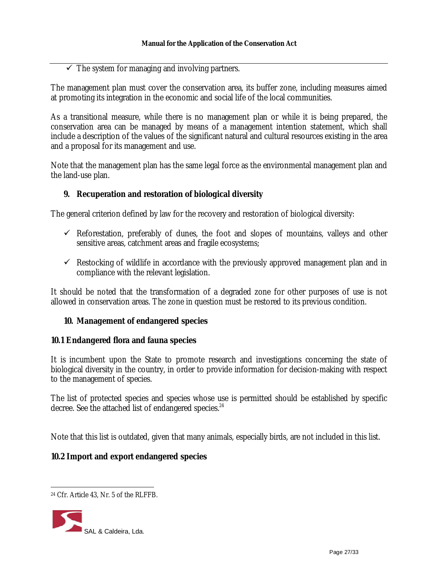## $\checkmark$  The system for managing and involving partners.

The management plan must cover the conservation area, its buffer zone, including measures aimed at promoting its integration in the economic and social life of the local communities.

As a transitional measure, while there is no management plan or while it is being prepared, the conservation area can be managed by means of a management intention statement, which shall include a description of the values of the significant natural and cultural resources existing in the area and a proposal for its management and use.

Note that the management plan has the same legal force as the environmental management plan and the land-use plan.

## **9. Recuperation and restoration of biological diversity**

The general criterion defined by law for the recovery and restoration of biological diversity:

- $\checkmark$  Reforestation, preferably of dunes, the foot and slopes of mountains, valleys and other sensitive areas, catchment areas and fragile ecosystems;
- $\checkmark$  Restocking of wildlife in accordance with the previously approved management plan and in compliance with the relevant legislation.

It should be noted that the transformation of a degraded zone for other purposes of use is not allowed in conservation areas. The zone in question must be restored to its previous condition.

## **10. Management of endangered species**

## **10.1 Endangered flora and fauna species**

It is incumbent upon the State to promote research and investigations concerning the state of biological diversity in the country, in order to provide information for decision-making with respect to the management of species.

The list of protected species and species whose use is permitted should be established by specific decree. See the attached list of endangered species.<sup>24</sup>

Note that this list is outdated, given that many animals, especially birds, are not included in this list.

## **10.2 Import and export endangered species**

<sup>24</sup> Cfr. Article 43, Nr. 5 of the RLFFB.

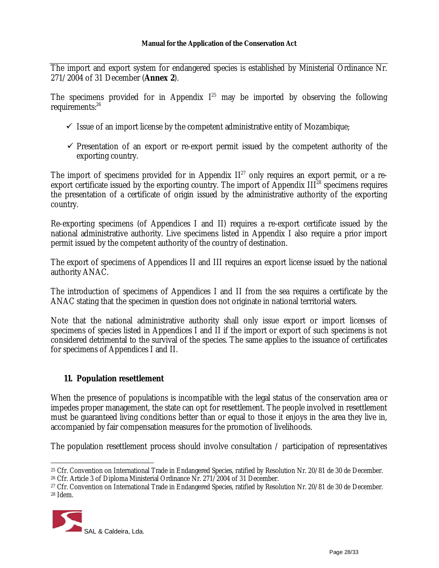The import and export system for endangered species is established by Ministerial Ordinance Nr. 271/2004 of 31 December (**Annex 2**).

The specimens provided for in Appendix  $I^{25}$  may be imported by observing the following requirements: 26

- $\checkmark$  Issue of an import license by the competent administrative entity of Mozambique;
- $\checkmark$  Presentation of an export or re-export permit issued by the competent authority of the exporting country.

The import of specimens provided for in Appendix  $II^{27}$  only requires an export permit, or a reexport certificate issued by the exporting country. The import of Appendix III $^{28}$  specimens requires the presentation of a certificate of origin issued by the administrative authority of the exporting country.

Re-exporting specimens (of Appendices I and II) requires a re-export certificate issued by the national administrative authority. Live specimens listed in Appendix I also require a prior import permit issued by the competent authority of the country of destination.

The export of specimens of Appendices II and III requires an export license issued by the national authority ANAC.

The introduction of specimens of Appendices I and II from the sea requires a certificate by the ANAC stating that the specimen in question does not originate in national territorial waters.

Note that the national administrative authority shall only issue export or import licenses of specimens of species listed in Appendices I and II if the import or export of such specimens is not considered detrimental to the survival of the species. The same applies to the issuance of certificates for specimens of Appendices I and II.

## **11. Population resettlement**

When the presence of populations is incompatible with the legal status of the conservation area or impedes proper management, the state can opt for resettlement. The people involved in resettlement must be guaranteed living conditions better than or equal to those it enjoys in the area they live in, accompanied by fair compensation measures for the promotion of livelihoods.

The population resettlement process should involve consultation / participation of representatives

<sup>27</sup> Cfr. Convention on International Trade in Endangered Species, ratified by Resolution Nr. 20/81 de 30 de December. <sup>28</sup> Idem.



<sup>25</sup> Cfr. Convention on International Trade in Endangered Species, ratified by Resolution Nr. 20/81 de 30 de December.

<sup>26</sup> Cfr. Article 3 of Diploma Ministerial Ordinance Nr. 271/2004 of 31 December.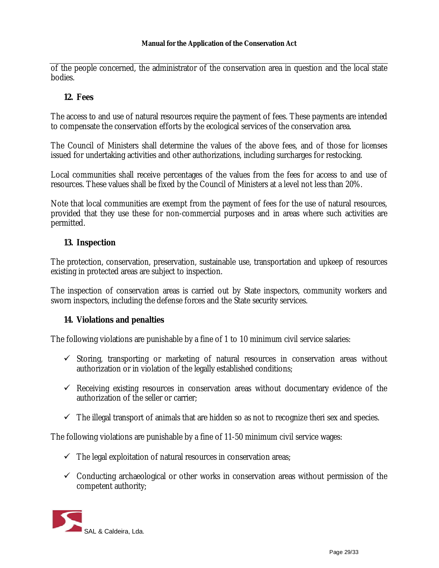of the people concerned, the administrator of the conservation area in question and the local state bodies.

## **12. Fees**

The access to and use of natural resources require the payment of fees. These payments are intended to compensate the conservation efforts by the ecological services of the conservation area.

The Council of Ministers shall determine the values of the above fees, and of those for licenses issued for undertaking activities and other authorizations, including surcharges for restocking.

Local communities shall receive percentages of the values from the fees for access to and use of resources. These values shall be fixed by the Council of Ministers at a level not less than 20%.

Note that local communities are exempt from the payment of fees for the use of natural resources, provided that they use these for non-commercial purposes and in areas where such activities are permitted.

## **13. Inspection**

The protection, conservation, preservation, sustainable use, transportation and upkeep of resources existing in protected areas are subject to inspection.

The inspection of conservation areas is carried out by State inspectors, community workers and sworn inspectors, including the defense forces and the State security services.

#### **14. Violations and penalties**

The following violations are punishable by a fine of 1 to 10 minimum civil service salaries:

- $\checkmark$  Storing, transporting or marketing of natural resources in conservation areas without authorization or in violation of the legally established conditions;
- $\checkmark$  Receiving existing resources in conservation areas without documentary evidence of the authorization of the seller or carrier;
- $\checkmark$  The illegal transport of animals that are hidden so as not to recognize theri sex and species.

The following violations are punishable by a fine of 11-50 minimum civil service wages:

- $\checkmark$  The legal exploitation of natural resources in conservation areas;
- $\checkmark$  Conducting archaeological or other works in conservation areas without permission of the competent authority;

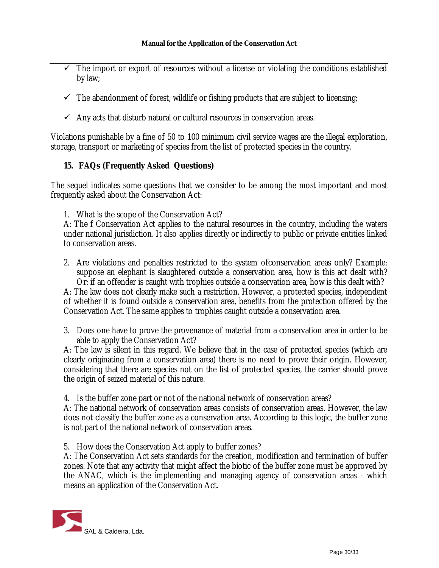- $\checkmark$  The import or export of resources without a license or violating the conditions established by law;
- $\checkmark$  The abandonment of forest, wildlife or fishing products that are subject to licensing;
- $\checkmark$  Any acts that disturb natural or cultural resources in conservation areas.

Violations punishable by a fine of 50 to 100 minimum civil service wages are the illegal exploration, storage, transport or marketing of species from the list of protected species in the country.

## **15. FAQs (Frequently Asked Questions)**

The sequel indicates some questions that we consider to be among the most important and most frequently asked about the Conservation Act:

1. What is the scope of the Conservation Act?

A: The f Conservation Act applies to the natural resources in the country, including the waters under national jurisdiction. It also applies directly or indirectly to public or private entities linked to conservation areas.

2. Are violations and penalties restricted to the system ofconservation areas only? Example: suppose an elephant is slaughtered outside a conservation area, how is this act dealt with? Or: if an offender is caught with trophies outside a conservation area, how is this dealt with?

A: The law does not clearly make such a restriction. However, a protected species, independent of whether it is found outside a conservation area, benefits from the protection offered by the Conservation Act. The same applies to trophies caught outside a conservation area.

3. Does one have to prove the provenance of material from a conservation area in order to be able to apply the Conservation Act?

A: The law is silent in this regard. We believe that in the case of protected species (which are clearly originating from a conservation area) there is no need to prove their origin. However, considering that there are species not on the list of protected species, the carrier should prove the origin of seized material of this nature.

4. Is the buffer zone part or not of the national network of conservation areas?

A: The national network of conservation areas consists of conservation areas. However, the law does not classify the buffer zone as a conservation area. According to this logic, the buffer zone is not part of the national network of conservation areas.

5. How does the Conservation Act apply to buffer zones?

A: The Conservation Act sets standards for the creation, modification and termination of buffer zones. Note that any activity that might affect the biotic of the buffer zone must be approved by the ANAC, which is the implementing and managing agency of conservation areas - which means an application of the Conservation Act.

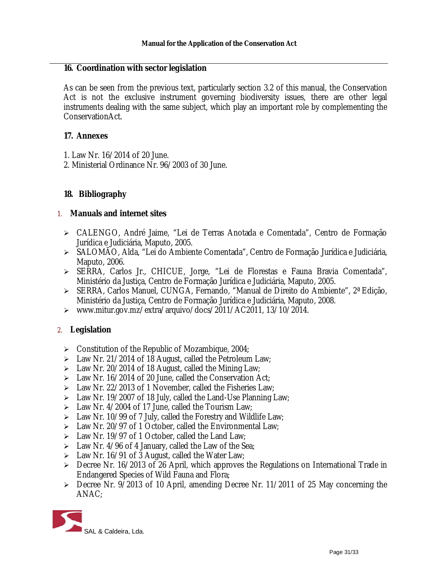#### **16. Coordination with sector legislation**

As can be seen from the previous text, particularly section 3.2 of this manual, the Conservation Act is not the exclusive instrument governing biodiversity issues, there are other legal instruments dealing with the same subject, which play an important role by complementing the ConservationAct.

## **17. Annexes**

- 1. Law Nr. 16/2014 of 20 June.
- 2. Ministerial Ordinance Nr. 96/2003 of 30 June.

## **18. Bibliography**

## 1. **Manuals and internet sites**

- CALENGO, André Jaime, "Lei de Terras Anotada e Comentada", Centro de Formação Jurídica e Judiciária, Maputo, 2005.
- SALOMÃO, Alda, "Lei do Ambiente Comentada", Centro de Formação Jurídica e Judiciária, Maputo, 2006.
- SERRA, Carlos Jr., CHICUE, Jorge, "Lei de Florestas e Fauna Bravia Comentada", Ministério da Justiça, Centro de Formação Jurídica e Judiciária, Maputo, 2005.
- SERRA, Carlos Manuel, CUNGA, Fernando, "Manual de Direito do Ambiente", 2ª Edição, Ministério da Justiça, Centro de Formação Jurídica e Judiciária, Maputo, 2008.
- [www.mitur.gov.mz/extra/arquivo/docs/2011/AC2011,](http://www.mitur.gov.mz/extra/arquivo/docs/2011/AC2011,) 13/10/2014.

## 2. **Legislation**

- $\triangleright$  Constitution of the Republic of Mozambique, 2004;
- $\triangleright$  Law Nr. 21/2014 of 18 August, called the Petroleum Law;
- $\geq$  Law Nr. 20/2014 of 18 August, called the Mining Law;
- $\triangleright$  Law Nr. 16/2014 of 20 June, called the Conservation Act;
- $\geq$  Law Nr. 22/2013 of 1 November, called the Fisheries Law;
- $\geq$  Law Nr. 19/2007 of 18 July, called the Land-Use Planning Law;
- $\geq$  Law Nr. 4/2004 of 17 June, called the Tourism Law;
- $\geq$  Law Nr. 10/99 of 7 July, called the Forestry and Wildlife Law;
- $\triangleright$  Law Nr. 20/97 of 1 October, called the Environmental Law;
- $\geq$  Law Nr. 19/97 of 1 October, called the Land Law;
- $\triangleright$  Law Nr. 4/96 of 4 January, called the Law of the Sea;
- $\geq$  Law Nr. 16/91 of 3 August, called the Water Law;
- Decree Nr. 16/2013 of 26 April, which approves the Regulations on International Trade in Endangered Species of Wild Fauna and Flora;
- Decree Nr. 9/2013 of 10 April, amending Decree Nr. 11/2011 of 25 May concerning the ANAC;

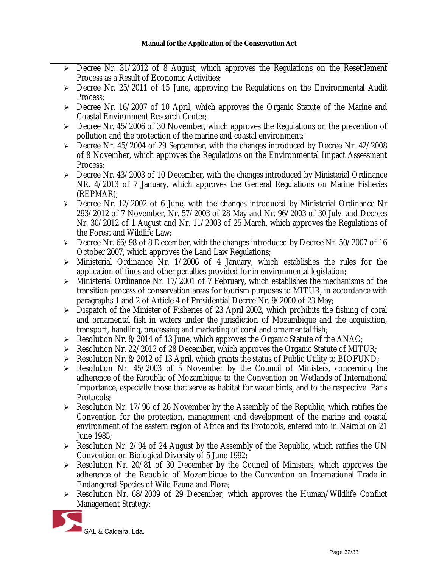- ▶ Decree Nr. 31/2012 of 8 August, which approves the Regulations on the Resettlement Process as a Result of Economic Activities;
- $\ge$  Decree Nr. 25/2011 of 15 June, approving the Regulations on the Environmental Audit Process;
- Decree Nr. 16/2007 of 10 April, which approves the Organic Statute of the Marine and Coastal Environment Research Center;
- $\triangleright$  Decree Nr. 45/2006 of 30 November, which approves the Regulations on the prevention of pollution and the protection of the marine and coastal environment;
- Decree Nr. 45/2004 of 29 September, with the changes introduced by Decree Nr. 42/2008 of 8 November, which approves the Regulations on the Environmental Impact Assessment Process;
- $\triangleright$  Decree Nr. 43/2003 of 10 December, with the changes introduced by Ministerial Ordinance NR. 4/2013 of 7 January, which approves the General Regulations on Marine Fisheries (REPMAR);
- $\triangleright$  Decree Nr. 12/2002 of 6 June, with the changes introduced by Ministerial Ordinance Nr 293/2012 of 7 November, Nr. 57/2003 of 28 May and Nr. 96/2003 of 30 July, and Decrees Nr. 30/2012 of 1 August and Nr. 11/2003 of 25 March, which approves the Regulations of the Forest and Wildlife Law;
- Decree Nr. 66/98 of 8 December, with the changes introduced by Decree Nr. 50/2007 of 16 October 2007, which approves the Land Law Regulations;
- $\triangleright$  Ministerial Ordinance Nr. 1/2006 of 4 January, which establishes the rules for the application of fines and other penalties provided for in environmental legislation;
- $\triangleright$  Ministerial Ordinance Nr. 17/2001 of 7 February, which establishes the mechanisms of the transition process of conservation areas for tourism purposes to MITUR, in accordance with paragraphs 1 and 2 of Article 4 of Presidential Decree Nr. 9/2000 of 23 May;
- $\triangleright$  Dispatch of the Minister of Fisheries of 23 April 2002, which prohibits the fishing of coral and ornamental fish in waters under the jurisdiction of Mozambique and the acquisition, transport, handling, processing and marketing of coral and ornamental fish;
- $\triangleright$  Resolution Nr. 8/2014 of 13 June, which approves the Organic Statute of the ANAC;
- $\triangleright$  Resolution Nr. 22/2012 of 28 December, which approves the Organic Statute of MITUR;
- $\triangleright$  Resolution Nr. 8/2012 of 13 April, which grants the status of Public Utility to BIOFUND;
- $\triangleright$  Resolution Nr. 45/2003 of 5 November by the Council of Ministers, concerning the adherence of the Republic of Mozambique to the Convention on Wetlands of International Importance, especially those that serve as habitat for water birds, and to the respective Paris Protocols;
- $\triangleright$  Resolution Nr. 17/96 of 26 November by the Assembly of the Republic, which ratifies the Convention for the protection, management and development of the marine and coastal environment of the eastern region of Africa and its Protocols, entered into in Nairobi on 21 June 1985;
- $\triangleright$  Resolution Nr. 2/94 of 24 August by the Assembly of the Republic, which ratifies the UN Convention on Biological Diversity of 5 June 1992;
- $\triangleright$  Resolution Nr. 20/81 of 30 December by the Council of Ministers, which approves the adherence of the Republic of Mozambique to the Convention on International Trade in Endangered Species of Wild Fauna and Flora;
- Resolution Nr. 68/2009 of 29 December, which approves the Human/Wildlife Conflict Management Strategy;